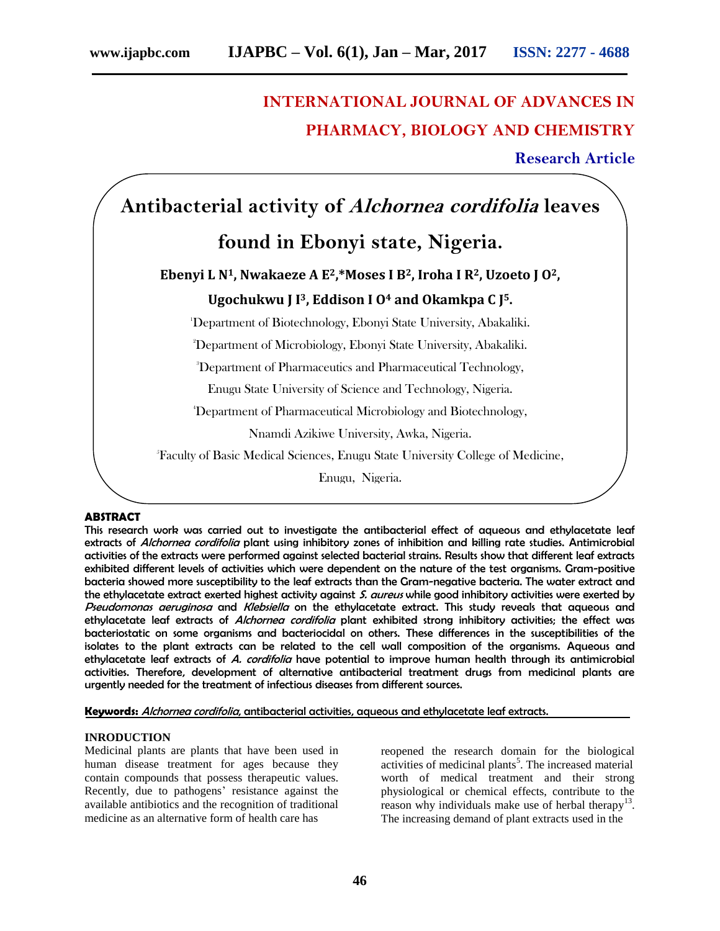# **INTERNATIONAL JOURNAL OF ADVANCES IN PHARMACY, BIOLOGY AND CHEMISTRY**

**Research Article**

# **Antibacterial activity of Alchornea cordifolia leaves**

# **found in Ebonyi state, Nigeria.**

# **Ebenyi L N1, Nwakaeze A E2,\*Moses I B2, Iroha I R2, Uzoeto J O2, Ugochukwu J I3, Eddison I O<sup>4</sup> and Okamkpa C J 5.**

<sup>1</sup>Department of Biotechnology, Ebonyi State University, Abakaliki.

<sup>2</sup>Department of Microbiology, Ebonyi State University, Abakaliki.

<sup>3</sup>Department of Pharmaceutics and Pharmaceutical Technology,

Enugu State University of Science and Technology, Nigeria.

<sup>4</sup>Department of Pharmaceutical Microbiology and Biotechnology,

Nnamdi Azikiwe University, Awka, Nigeria.

<sup>5</sup>Faculty of Basic Medical Sciences, Enugu State University College of Medicine,

Enugu, Nigeria.

## **ABSTRACT**

This research work was carried out to investigate the antibacterial effect of aqueous and ethylacetate leaf extracts of Alchornea cordifolia plant using inhibitory zones of inhibition and killing rate studies. Antimicrobial activities of the extracts were performed against selected bacterial strains. Results show that different leaf extracts exhibited different levels of activities which were dependent on the nature of the test organisms. Gram-positive bacteria showed more susceptibility to the leaf extracts than the Gram-negative bacteria. The water extract and the ethylacetate extract exerted highest activity against S. aureus while good inhibitory activities were exerted by Pseudomonas aeruginosa and Klebsiella on the ethylacetate extract. This study reveals that aqueous and ethylacetate leaf extracts of Alchornea cordifolia plant exhibited strong inhibitory activities; the effect was bacteriostatic on some organisms and bacteriocidal on others. These differences in the susceptibilities of the isolates to the plant extracts can be related to the cell wall composition of the organisms. Aqueous and ethylacetate leaf extracts of A. cordifolia have potential to improve human health through its antimicrobial activities. Therefore, development of alternative antibacterial treatment drugs from medicinal plants are urgently needed for the treatment of infectious diseases from different sources.

**Keywords:** Alchornea cordifolia, antibacterial activities, aqueous and ethylacetate leaf extracts.

## **INRODUCTION**

Medicinal plants are plants that have been used in human disease treatment for ages because they contain compounds that possess therapeutic values. Recently, due to pathogens' resistance against the available antibiotics and the recognition of traditional medicine as an alternative form of health care has

reopened the research domain for the biological activities of medicinal plants<sup>5</sup>. The increased material worth of medical treatment and their strong physiological or chemical effects, contribute to the reason why individuals make use of herbal therapy<sup>13</sup>. The increasing demand of plant extracts used in the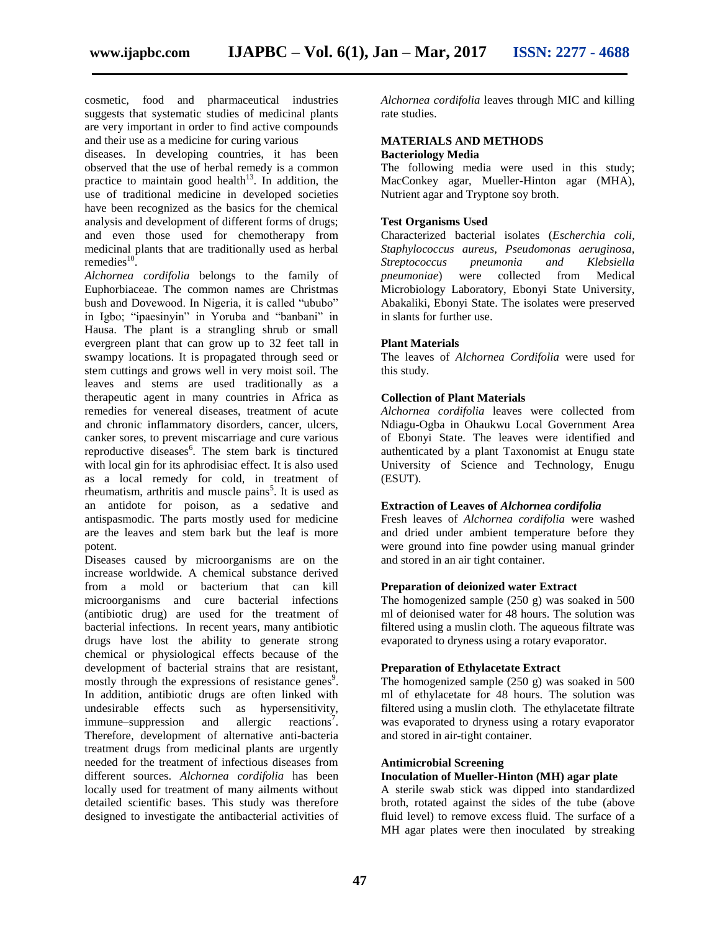cosmetic, food and pharmaceutical industries suggests that systematic studies of medicinal plants are very important in order to find active compounds and their use as a medicine for curing various

diseases. In developing countries, it has been observed that the use of herbal remedy is a common practice to maintain good health<sup>13</sup>. In addition, the use of traditional medicine in developed societies have been recognized as the basics for the chemical analysis and development of different forms of drugs; and even those used for chemotherapy from medicinal plants that are traditionally used as herbal remedies $^{10}$ .

*Alchornea cordifolia* belongs to the family of Euphorbiaceae. The common names are Christmas bush and Dovewood. In Nigeria, it is called "ububo" in Igbo; "ipaesinyin" in Yoruba and "banbani" in Hausa. The plant is a strangling shrub or small evergreen plant that can grow up to 32 feet tall in swampy locations. It is propagated through seed or stem cuttings and grows well in very moist soil. The leaves and stems are used traditionally as a therapeutic agent in many countries in Africa as remedies for venereal diseases, treatment of acute and chronic inflammatory disorders, cancer, ulcers, canker sores, to prevent miscarriage and cure various reproductive diseases<sup>6</sup>. The stem bark is tinctured with local gin for its aphrodisiac effect. It is also used as a local remedy for cold, in treatment of rheumatism, arthritis and muscle pains<sup>5</sup>. It is used as an antidote for poison, as a sedative and antispasmodic. The parts mostly used for medicine are the leaves and stem bark but the leaf is more potent.

Diseases caused by microorganisms are on the increase worldwide. A chemical substance derived from a mold or bacterium that can kill microorganisms and cure bacterial infections (antibiotic drug) are used for the treatment of bacterial infections. In recent years, many antibiotic drugs have lost the ability to generate strong chemical or physiological effects because of the development of bacterial strains that are resistant, mostly through the expressions of resistance genes<sup>9</sup>. In addition, antibiotic drugs are often linked with undesirable effects such as hypersensitivity, immune–suppression and allergic reactions<sup>7</sup>. Therefore, development of alternative anti-bacteria treatment drugs from medicinal plants are urgently needed for the treatment of infectious diseases from different sources. *Alchornea cordifolia* has been locally used for treatment of many ailments without detailed scientific bases. This study was therefore designed to investigate the antibacterial activities of

*Alchornea cordifolia* leaves through MIC and killing rate studies.

#### **MATERIALS AND METHODS Bacteriology Media**

The following media were used in this study; MacConkey agar, Mueller-Hinton agar (MHA), Nutrient agar and Tryptone soy broth.

## **Test Organisms Used**

Characterized bacterial isolates (*Escherchia coli, Staphylococcus aureus, Pseudomonas aeruginosa, Streptococcus pneumonia and Klebsiella pneumoniae*) were collected from Medical Microbiology Laboratory, Ebonyi State University, Abakaliki, Ebonyi State. The isolates were preserved in slants for further use.

### **Plant Materials**

The leaves of *Alchornea Cordifolia* were used for this study.

### **Collection of Plant Materials**

*Alchornea cordifolia* leaves were collected from Ndiagu-Ogba in Ohaukwu Local Government Area of Ebonyi State. The leaves were identified and authenticated by a plant Taxonomist at Enugu state University of Science and Technology, Enugu (ESUT).

### **Extraction of Leaves of** *Alchornea cordifolia*

Fresh leaves of *Alchornea cordifolia* were washed and dried under ambient temperature before they were ground into fine powder using manual grinder and stored in an air tight container.

#### **Preparation of deionized water Extract**

The homogenized sample (250 g) was soaked in 500 ml of deionised water for 48 hours. The solution was filtered using a muslin cloth. The aqueous filtrate was evaporated to dryness using a rotary evaporator.

#### **Preparation of Ethylacetate Extract**

The homogenized sample (250 g) was soaked in 500 ml of ethylacetate for 48 hours. The solution was filtered using a muslin cloth. The ethylacetate filtrate was evaporated to dryness using a rotary evaporator and stored in air-tight container.

#### **Antimicrobial Screening**

## **Inoculation of Mueller-Hinton (MH) agar plate**

A sterile swab stick was dipped into standardized broth, rotated against the sides of the tube (above fluid level) to remove excess fluid. The surface of a MH agar plates were then inoculated by streaking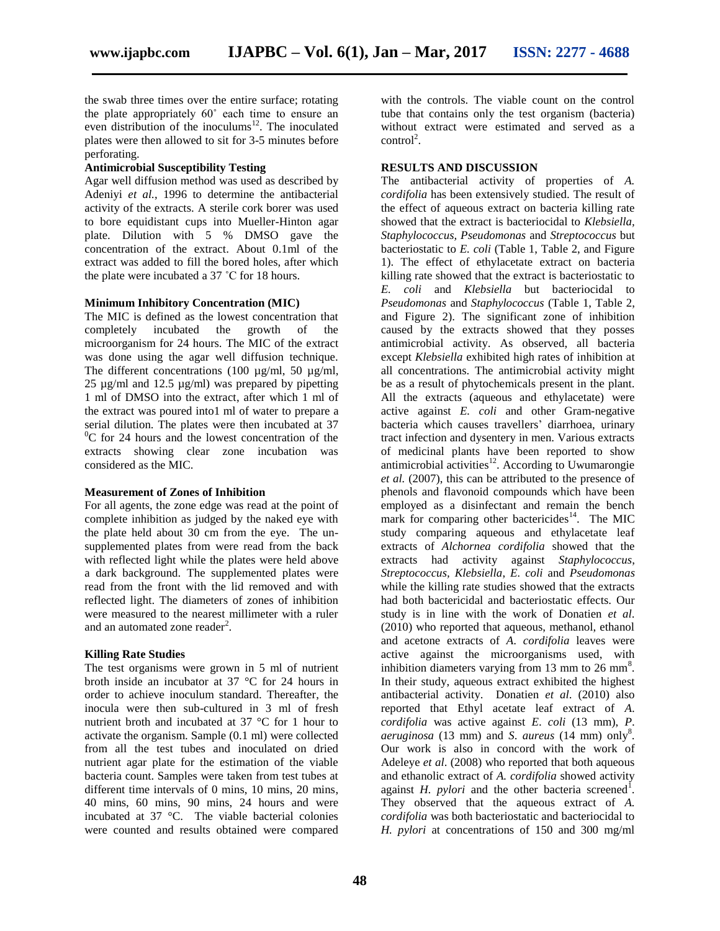the swab three times over the entire surface; rotating the plate appropriately 60˚ each time to ensure an even distribution of the inoculums<sup>12</sup>. The inoculated plates were then allowed to sit for 3-5 minutes before

## **Antimicrobial Susceptibility Testing**

perforating.

Agar well diffusion method was used as described by Adeniyi *et al.*, 1996 to determine the antibacterial activity of the extracts. A sterile cork borer was used to bore equidistant cups into Mueller-Hinton agar plate. Dilution with 5 % DMSO gave the concentration of the extract. About 0.1ml of the extract was added to fill the bored holes, after which the plate were incubated a 37 ˚C for 18 hours.

# **Minimum Inhibitory Concentration (MIC)**

The MIC is defined as the lowest concentration that completely incubated the growth of the microorganism for 24 hours. The MIC of the extract was done using the agar well diffusion technique. The different concentrations (100 µg/ml, 50 µg/ml, 25 µg/ml and 12.5 µg/ml) was prepared by pipetting 1 ml of DMSO into the extract, after which 1 ml of the extract was poured into1 ml of water to prepare a serial dilution. The plates were then incubated at 37  ${}^{0}C$  for 24 hours and the lowest concentration of the extracts showing clear zone incubation was considered as the MIC.

# **Measurement of Zones of Inhibition**

For all agents, the zone edge was read at the point of complete inhibition as judged by the naked eye with the plate held about 30 cm from the eye. The unsupplemented plates from were read from the back with reflected light while the plates were held above a dark background. The supplemented plates were read from the front with the lid removed and with reflected light. The diameters of zones of inhibition were measured to the nearest millimeter with a ruler and an automated zone reader $2$ .

# **Killing Rate Studies**

The test organisms were grown in 5 ml of nutrient broth inside an incubator at 37 °C for 24 hours in order to achieve inoculum standard. Thereafter, the inocula were then sub-cultured in 3 ml of fresh nutrient broth and incubated at 37 °C for 1 hour to activate the organism. Sample (0.1 ml) were collected from all the test tubes and inoculated on dried nutrient agar plate for the estimation of the viable bacteria count. Samples were taken from test tubes at different time intervals of 0 mins, 10 mins, 20 mins, 40 mins, 60 mins, 90 mins, 24 hours and were incubated at 37 °C. The viable bacterial colonies were counted and results obtained were compared with the controls. The viable count on the control tube that contains only the test organism (bacteria) without extract were estimated and served as a  $control<sup>2</sup>$ .

# **RESULTS AND DISCUSSION**

The antibacterial activity of properties of *A. cordifolia* has been extensively studied. The result of the effect of aqueous extract on bacteria killing rate showed that the extract is bacteriocidal to *Klebsiella, Staphylococcus, Pseudomonas* and *Streptococcus* but bacteriostatic to *E. coli* (Table 1, Table 2, and Figure 1). The effect of ethylacetate extract on bacteria killing rate showed that the extract is bacteriostatic to *E. coli* and *Klebsiella* but bacteriocidal to *Pseudomonas* and *Staphylococcus* (Table 1, Table 2, and Figure 2). The significant zone of inhibition caused by the extracts showed that they posses antimicrobial activity. As observed, all bacteria except *Klebsiella* exhibited high rates of inhibition at all concentrations. The antimicrobial activity might be as a result of phytochemicals present in the plant. All the extracts (aqueous and ethylacetate) were active against *E. coli* and other Gram-negative bacteria which causes travellers' diarrhoea, urinary tract infection and dysentery in men. Various extracts of medicinal plants have been reported to show antimicrobial activities $12$ . According to Uwumarongie *et al.* (2007), this can be attributed to the presence of phenols and flavonoid compounds which have been employed as a disinfectant and remain the bench mark for comparing other bactericides<sup>14</sup>. The MIC study comparing aqueous and ethylacetate leaf extracts of *Alchornea cordifolia* showed that the extracts had activity against *Staphylococcus*, *Streptococcus, Klebsiella*, *E. coli* and *Pseudomonas* while the killing rate studies showed that the extracts had both bactericidal and bacteriostatic effects. Our study is in line with the work of Donatien *et al*. (2010) who reported that aqueous, methanol, ethanol and acetone extracts of *A*. *cordifolia* leaves were active against the microorganisms used, with inhibition diameters varying from 13 mm to 26 mm<sup>8</sup>. In their study, aqueous extract exhibited the highest antibacterial activity. Donatien *et al*. (2010) also reported that Ethyl acetate leaf extract of *A*. *cordifolia* was active against *E*. *coli* (13 mm), *P*. *aeruginosa* (13 mm) and *S*. *aureus* (14 mm) only<sup>8</sup> . Our work is also in concord with the work of Adeleye *et al*. (2008) who reported that both aqueous and ethanolic extract of *A. cordifolia* showed activity against  $H$ . *pylori* and the other bacteria screened<sup>1</sup>. They observed that the aqueous extract of *A. cordifolia* was both bacteriostatic and bacteriocidal to *H. pylori* at concentrations of 150 and 300 mg/ml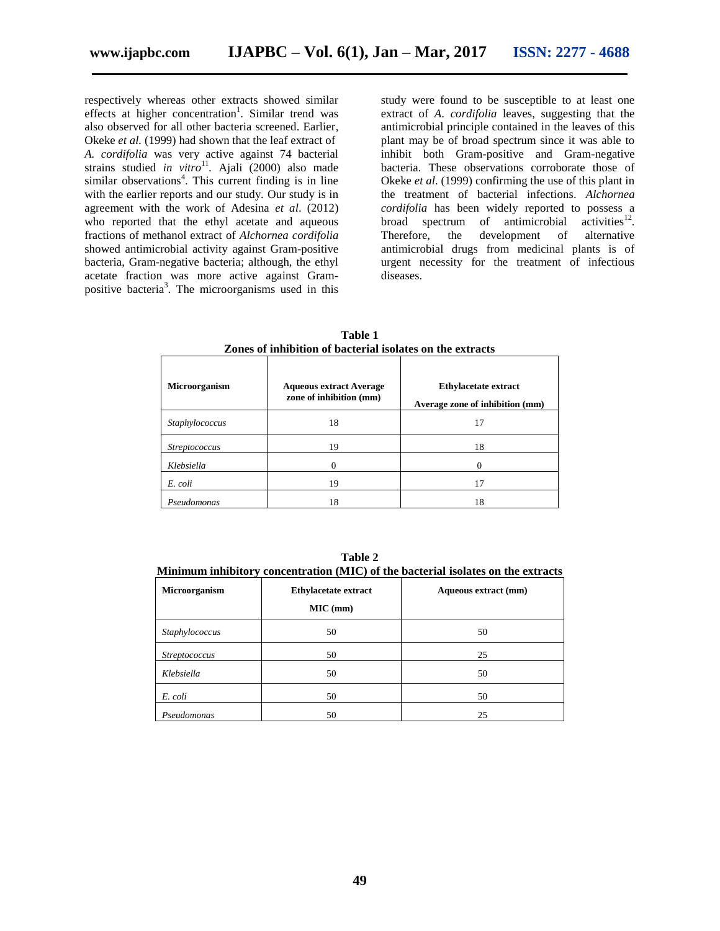respectively whereas other extracts showed similar effects at higher concentration<sup>1</sup>. Similar trend was also observed for all other bacteria screened. Earlier, Okeke *et al.* (1999) had shown that the leaf extract of *A. cordifolia* was very active against 74 bacterial strains studied *in vitro*<sup>11</sup>. Ajali (2000) also made similar observations<sup>4</sup>. This current finding is in line with the earlier reports and our study. Our study is in agreement with the work of Adesina *et al*. (2012) who reported that the ethyl acetate and aqueous fractions of methanol extract of *Alchornea cordifolia*  showed antimicrobial activity against Gram-positive bacteria, Gram-negative bacteria; although, the ethyl acetate fraction was more active against Grampositive bacteria<sup>3</sup>. The microorganisms used in this

study were found to be susceptible to at least one extract of *A*. *cordifolia* leaves, suggesting that the antimicrobial principle contained in the leaves of this plant may be of broad spectrum since it was able to inhibit both Gram-positive and Gram-negative bacteria. These observations corroborate those of Okeke *et al*. (1999) confirming the use of this plant in the treatment of bacterial infections. *Alchornea cordifolia* has been widely reported to possess a broad spectrum of antimicrobial activities $^{12}$ . Therefore, the development of alternative antimicrobial drugs from medicinal plants is of urgent necessity for the treatment of infectious diseases.

| <b>Microorganism</b> | <b>Aqueous extract Average</b><br>zone of inhibition (mm) | <b>Ethylacetate extract</b><br>Average zone of inhibition (mm) |
|----------------------|-----------------------------------------------------------|----------------------------------------------------------------|
| Staphylococcus       | 18                                                        | 17                                                             |
| <i>Streptococcus</i> | 19                                                        | 18                                                             |
| Klebsiella           |                                                           |                                                                |
| E. coli              | 19                                                        | 17                                                             |
| Pseudomonas          | 18                                                        | 18                                                             |

**Table 1 Zones of inhibition of bacterial isolates on the extracts**

**Table 2**

**Minimum inhibitory concentration (MIC) of the bacterial isolates on the extracts**

| Microorganism        | <b>Ethylacetate extract</b><br>MIC (mm) | Aqueous extract (mm) |
|----------------------|-----------------------------------------|----------------------|
| Staphylococcus       | 50                                      | 50                   |
| <b>Streptococcus</b> | 50                                      | 25                   |
| Klebsiella           | 50                                      | 50                   |
| E. coli              | 50                                      | 50                   |
| Pseudomonas          | 50                                      | 25                   |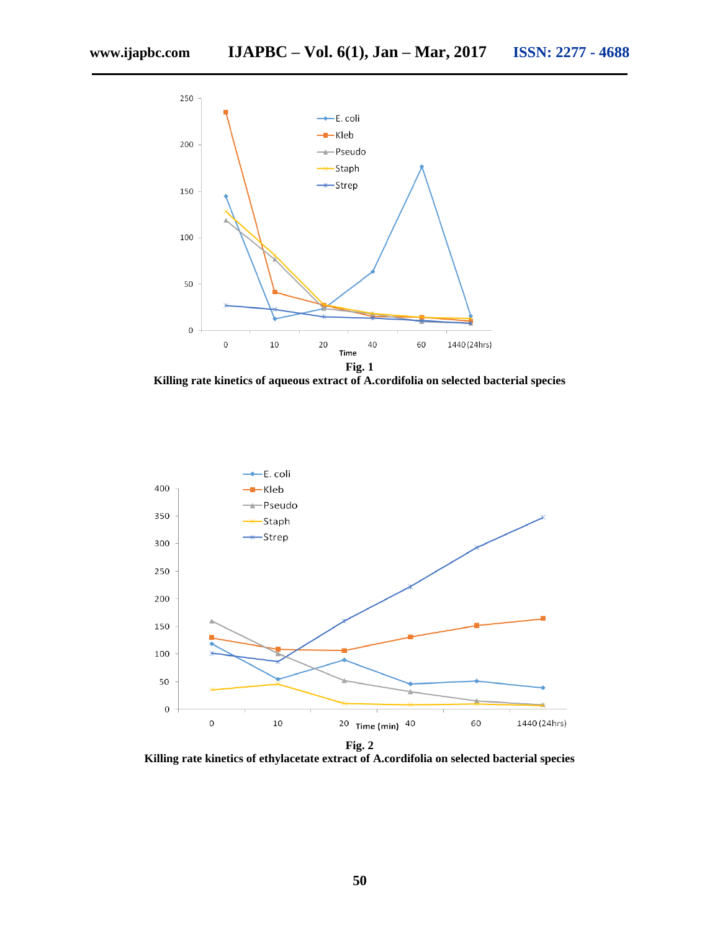

**Killing rate kinetics of aqueous extract of A.cordifolia on selected bacterial species**



**Killing rate kinetics of ethylacetate extract of A.cordifolia on selected bacterial species**